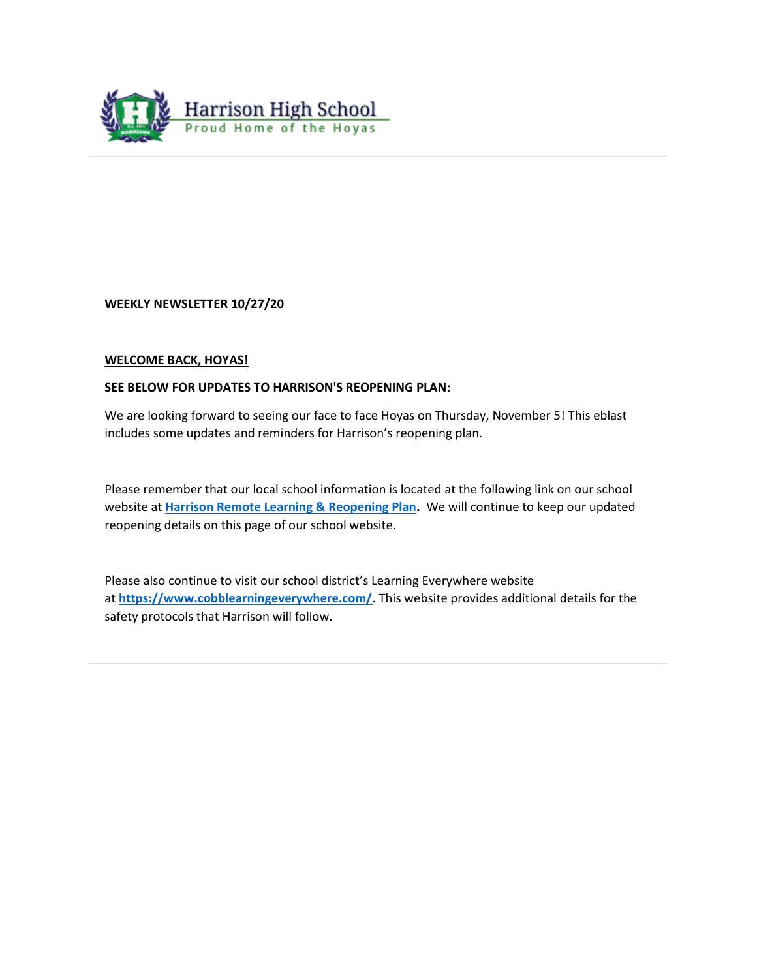

**WEEKLY NEWSLETTER 10/27/20**

### **WELCOME BACK, HOYAS!**

### **SEE BELOW FOR UPDATES TO HARRISON'S REOPENING PLAN:**

We are looking forward to seeing our face to face Hoyas on Thursday, November 5! This eblast includes some updates and reminders for Harrison's reopening plan.

Please remember that our local school information is located at the following link on our school website at **[Harrison Remote Learning & Reopening Plan.](http://www.harrisonhigh.org/Remote-Learning-Information)** We will continue to keep our updated reopening details on this page of our school website.

Please also continue to visit our school district's Learning Everywhere website at **<https://www.cobblearningeverywhere.com/>**. This website provides additional details for the safety protocols that Harrison will follow.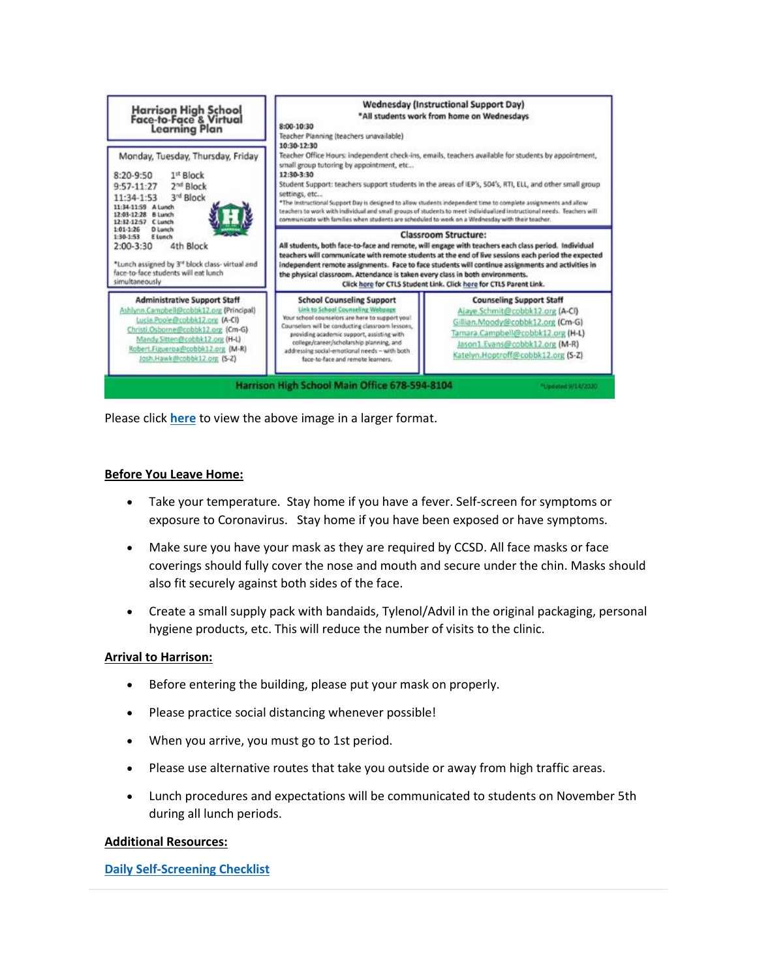

Please click **[here](https://tb2cdn.schoolwebmasters.com/accnt_42975/site_42976/Documents/New-Harrison-Virtual-Learning-Plan.pdf)** to view the above image in a larger format.

### **Before You Leave Home:**

- Take your temperature. Stay home if you have a fever. Self-screen for symptoms or exposure to Coronavirus. Stay home if you have been exposed or have symptoms.
- Make sure you have your mask as they are required by CCSD. All face masks or face coverings should fully cover the nose and mouth and secure under the chin. Masks should also fit securely against both sides of the face.
- Create a small supply pack with bandaids, Tylenol/Advil in the original packaging, personal hygiene products, etc. This will reduce the number of visits to the clinic.

### **Arrival to Harrison:**

- Before entering the building, please put your mask on properly.
- Please practice social distancing whenever possible!
- When you arrive, you must go to 1st period.
- Please use alternative routes that take you outside or away from high traffic areas.
- Lunch procedures and expectations will be communicated to students on November 5th during all lunch periods.

### **Additional Resources:**

### **[Daily Self-Screening Checklist](https://tb2cdn.schoolwebmasters.com/accnt_42975/site_42976/Documents/Return-to-School-Flowchart-for-Students.pdf)**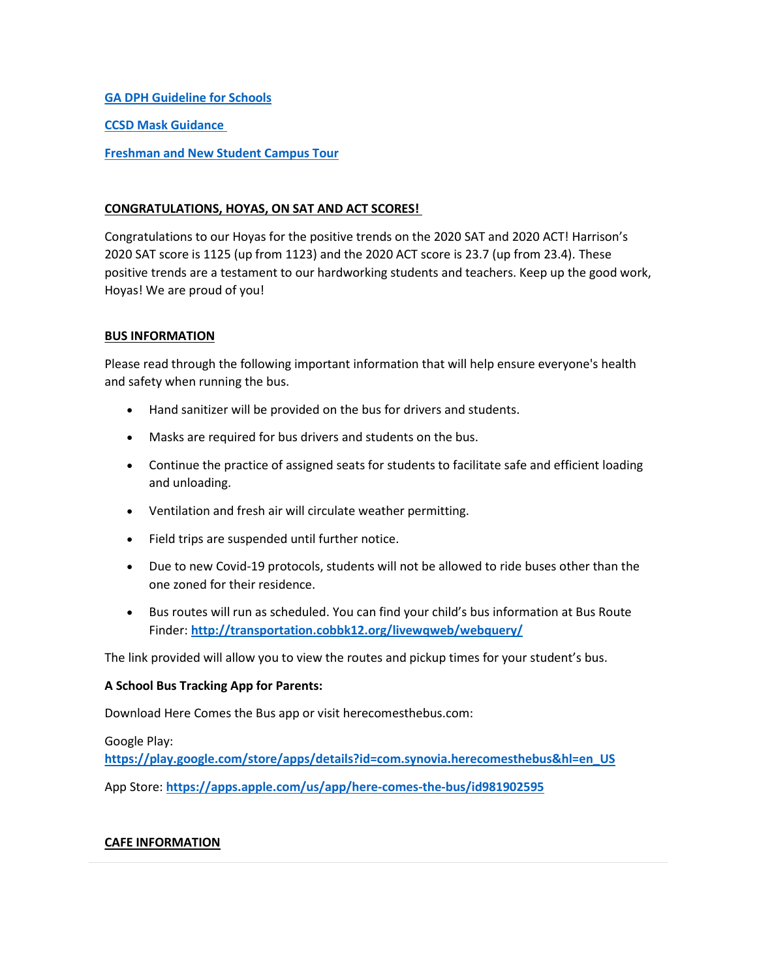### **[GA DPH Guideline for Schools](https://tb2cdn.schoolwebmasters.com/accnt_42975/site_42976/Documents/DPH-Guidelines-for-Schools.pdf)**

**[CCSD Mask Guidance](https://secureservercdn.net/45.40.150.136/2hf.82a.myftpupload.com/wp-content/uploads/2020/09/Mask-Guidance.pdf)**

**[Freshman and New Student Campus Tour](https://tb2cdn.schoolwebmasters.com/accnt_42975/New-Students-and-Freshman-Flyer.pdf)**

### **CONGRATULATIONS, HOYAS, ON SAT AND ACT SCORES!**

Congratulations to our Hoyas for the positive trends on the 2020 SAT and 2020 ACT! Harrison's 2020 SAT score is 1125 (up from 1123) and the 2020 ACT score is 23.7 (up from 23.4). These positive trends are a testament to our hardworking students and teachers. Keep up the good work, Hoyas! We are proud of you!

### **BUS INFORMATION**

Please read through the following important information that will help ensure everyone's health and safety when running the bus.

- Hand sanitizer will be provided on the bus for drivers and students.
- Masks are required for bus drivers and students on the bus.
- Continue the practice of assigned seats for students to facilitate safe and efficient loading and unloading.
- Ventilation and fresh air will circulate weather permitting.
- Field trips are suspended until further notice.
- Due to new Covid-19 protocols, students will not be allowed to ride buses other than the one zoned for their residence.
- Bus routes will run as scheduled. You can find your child's bus information at Bus Route Finder: **<http://transportation.cobbk12.org/livewqweb/webquery/>**

The link provided will allow you to view the routes and pickup times for your student's bus.

### **A School Bus Tracking App for Parents:**

Download Here Comes the Bus app or visit herecomesthebus.com:

Google Play: **[https://play.google.com/store/apps/details?id=com.synovia.herecomesthebus&hl=en\\_US](https://play.google.com/store/apps/details?id=com.synovia.herecomesthebus&hl=en_US)** App Store: **<https://apps.apple.com/us/app/here-comes-the-bus/id981902595>**

### **CAFE INFORMATION**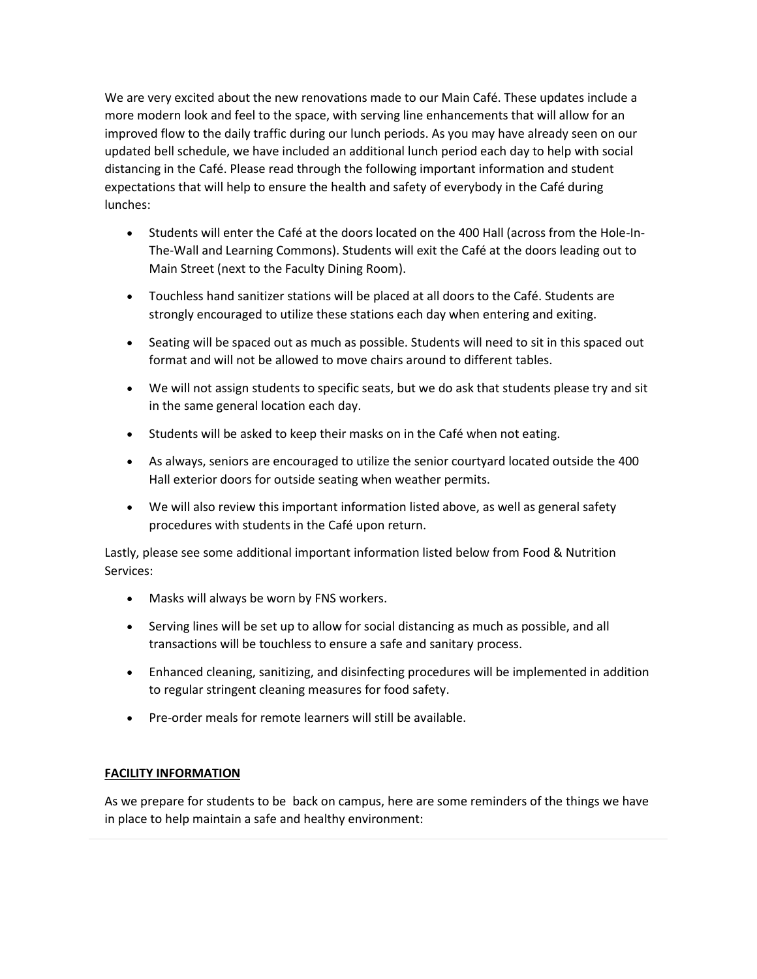We are very excited about the new renovations made to our Main Café. These updates include a more modern look and feel to the space, with serving line enhancements that will allow for an improved flow to the daily traffic during our lunch periods. As you may have already seen on our updated bell schedule, we have included an additional lunch period each day to help with social distancing in the Café. Please read through the following important information and student expectations that will help to ensure the health and safety of everybody in the Café during lunches:

- Students will enter the Café at the doors located on the 400 Hall (across from the Hole-In-The-Wall and Learning Commons). Students will exit the Café at the doors leading out to Main Street (next to the Faculty Dining Room).
- Touchless hand sanitizer stations will be placed at all doors to the Café. Students are strongly encouraged to utilize these stations each day when entering and exiting.
- Seating will be spaced out as much as possible. Students will need to sit in this spaced out format and will not be allowed to move chairs around to different tables.
- We will not assign students to specific seats, but we do ask that students please try and sit in the same general location each day.
- Students will be asked to keep their masks on in the Café when not eating.
- As always, seniors are encouraged to utilize the senior courtyard located outside the 400 Hall exterior doors for outside seating when weather permits.
- We will also review this important information listed above, as well as general safety procedures with students in the Café upon return.

Lastly, please see some additional important information listed below from Food & Nutrition Services:

- Masks will always be worn by FNS workers.
- Serving lines will be set up to allow for social distancing as much as possible, and all transactions will be touchless to ensure a safe and sanitary process.
- Enhanced cleaning, sanitizing, and disinfecting procedures will be implemented in addition to regular stringent cleaning measures for food safety.
- Pre-order meals for remote learners will still be available.

### **FACILITY INFORMATION**

As we prepare for students to be back on campus, here are some reminders of the things we have in place to help maintain a safe and healthy environment: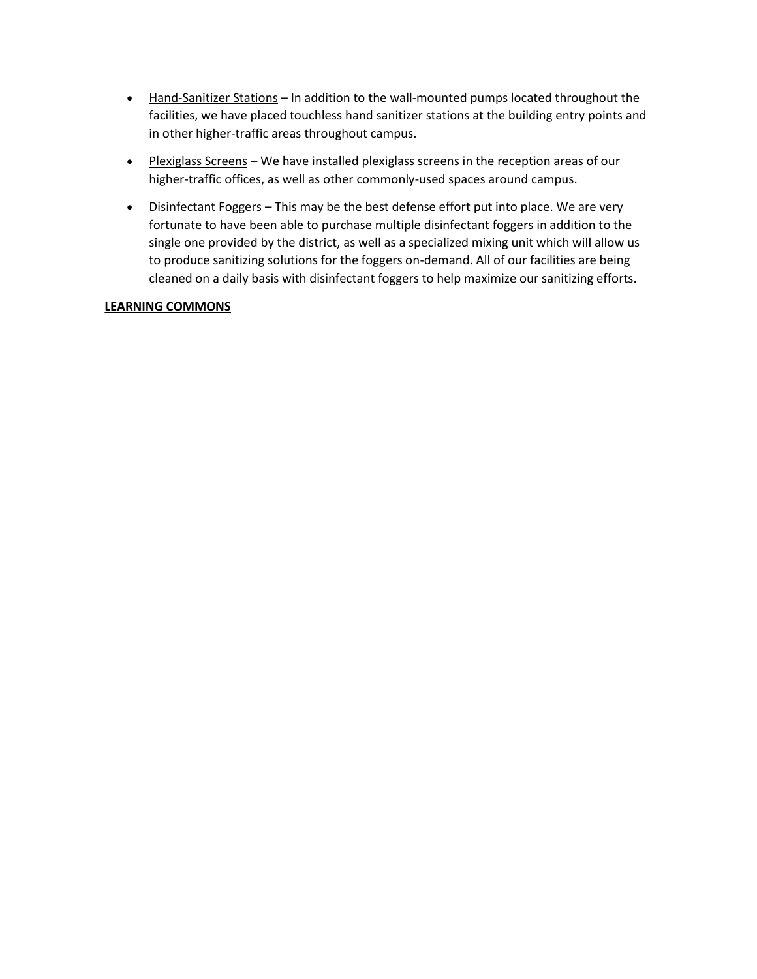- Hand-Sanitizer Stations In addition to the wall-mounted pumps located throughout the facilities, we have placed touchless hand sanitizer stations at the building entry points and in other higher-traffic areas throughout campus.
- Plexiglass Screens We have installed plexiglass screens in the reception areas of our higher-traffic offices, as well as other commonly-used spaces around campus.
- Disinfectant Foggers This may be the best defense effort put into place. We are very fortunate to have been able to purchase multiple disinfectant foggers in addition to the single one provided by the district, as well as a specialized mixing unit which will allow us to produce sanitizing solutions for the foggers on-demand. All of our facilities are being cleaned on a daily basis with disinfectant foggers to help maximize our sanitizing efforts.

### **LEARNING COMMONS**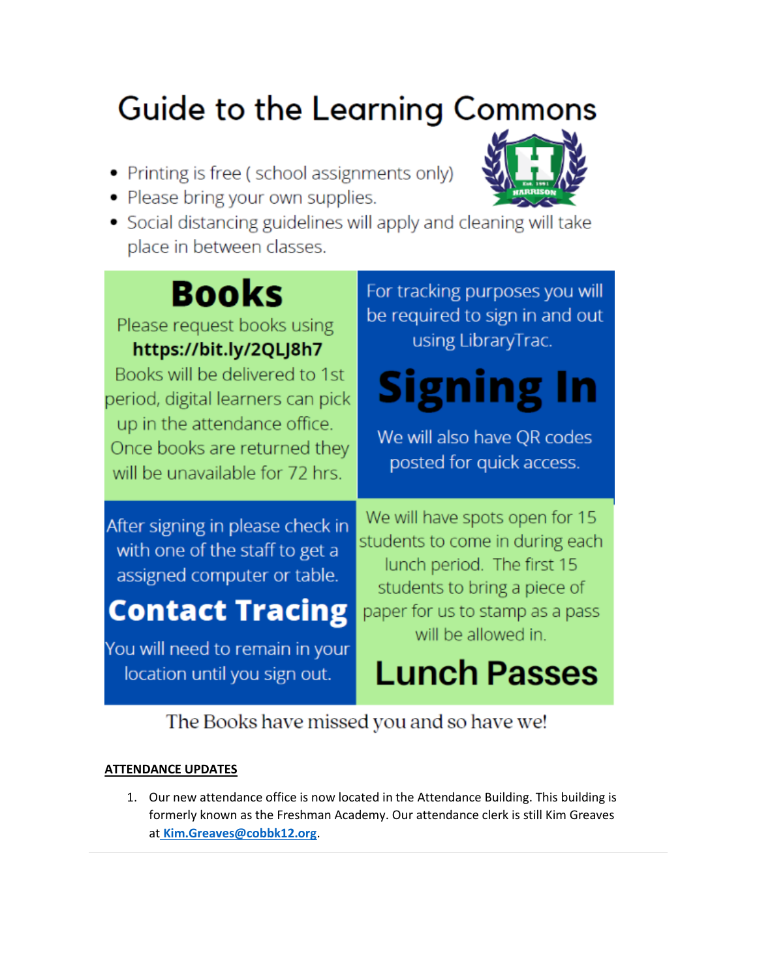# **Guide to the Learning Commons**

- Printing is free (school assignments only)
- Please bring your own supplies.



# **Books**

Please request books using https://bit.ly/2QLJ8h7

Books will be delivered to 1st period, digital learners can pick up in the attendance office. Once books are returned they will be unavailable for 72 hrs.

After signing in please check in with one of the staff to get a assigned computer or table.

## **Contact Tracing**

You will need to remain in your location until you sign out.

For tracking purposes you will be required to sign in and out using LibraryTrac.

# Signing In

We will also have OR codes posted for quick access.

We will have spots open for 15 students to come in during each lunch period. The first 15 students to bring a piece of paper for us to stamp as a pass will be allowed in.

```
Lunch Passes
```
The Books have missed you and so have we!

### **ATTENDANCE UPDATES**

1. Our new attendance office is now located in the Attendance Building. This building is formerly known as the Freshman Academy. Our attendance clerk is still Kim Greaves at Kim.Greaves@cobbk12.org.

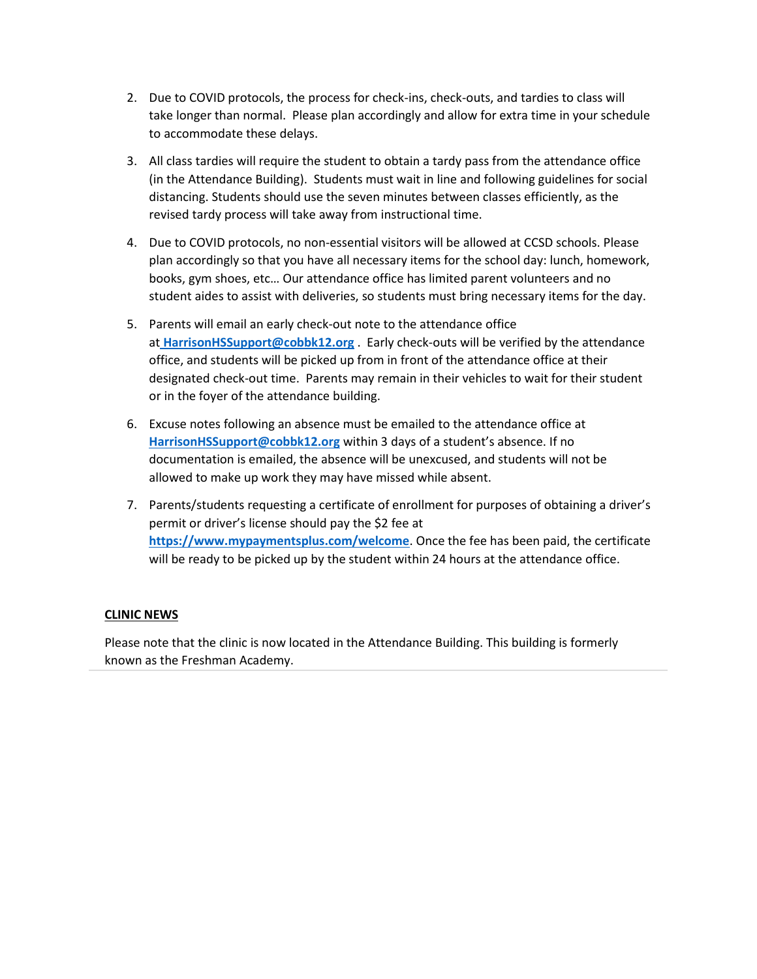- 2. Due to COVID protocols, the process for check-ins, check-outs, and tardies to class will take longer than normal. Please plan accordingly and allow for extra time in your schedule to accommodate these delays.
- 3. All class tardies will require the student to obtain a tardy pass from the attendance office (in the Attendance Building). Students must wait in line and following guidelines for social distancing. Students should use the seven minutes between classes efficiently, as the revised tardy process will take away from instructional time.
- 4. Due to COVID protocols, no non-essential visitors will be allowed at CCSD schools. Please plan accordingly so that you have all necessary items for the school day: lunch, homework, books, gym shoes, etc… Our attendance office has limited parent volunteers and no student aides to assist with deliveries, so students must bring necessary items for the day.
- 5. Parents will email an early check-out note to the attendance office at **[HarrisonHSSupport@cobbk12.org](mailto:HarrisonHSSupport@cobbk12.org)** . Early check-outs will be verified by the attendance office, and students will be picked up from in front of the attendance office at their designated check-out time. Parents may remain in their vehicles to wait for their student or in the foyer of the attendance building.
- 6. Excuse notes following an absence must be emailed to the attendance office at **[HarrisonHSSupport@cobbk12.org](mailto:HarrisonHSSupport@cobbk12.org)** within 3 days of a student's absence. If no documentation is emailed, the absence will be unexcused, and students will not be allowed to make up work they may have missed while absent.
- 7. Parents/students requesting a certificate of enrollment for purposes of obtaining a driver's permit or driver's license should pay the \$2 fee at **<https://www.mypaymentsplus.com/welcome>**. Once the fee has been paid, the certificate will be ready to be picked up by the student within 24 hours at the attendance office.

### **CLINIC NEWS**

Please note that the clinic is now located in the Attendance Building. This building is formerly known as the Freshman Academy.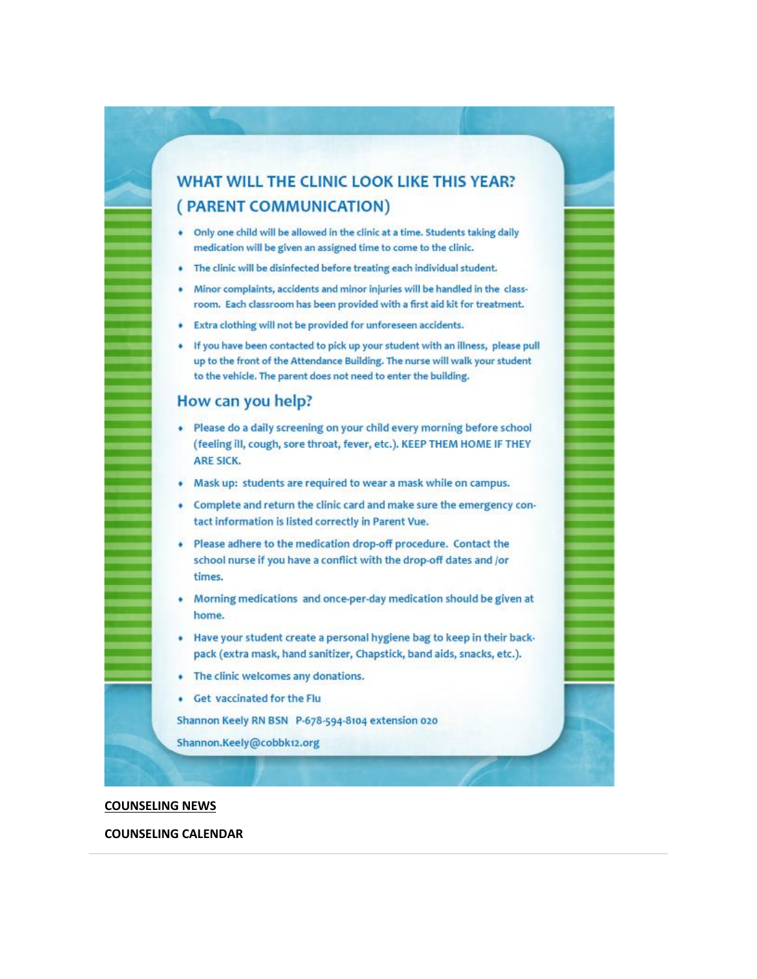### WHAT WILL THE CLINIC LOOK LIKE THIS YEAR? (PARENT COMMUNICATION)

- Only one child will be allowed in the clinic at a time. Students taking daily medication will be given an assigned time to come to the clinic.
- The clinic will be disinfected before treating each individual student.
- Minor complaints, accidents and minor injuries will be handled in the classroom. Each classroom has been provided with a first aid kit for treatment.
- Extra clothing will not be provided for unforeseen accidents.
- . If you have been contacted to pick up your student with an illness, please pull up to the front of the Attendance Building. The nurse will walk your student to the vehicle. The parent does not need to enter the building.

### How can you help?

- · Please do a daily screening on your child every morning before school (feeling ill, cough, sore throat, fever, etc.). KEEP THEM HOME IF THEY **ARE SICK.**
- Mask up: students are required to wear a mask while on campus.
- Complete and return the clinic card and make sure the emergency contact information is listed correctly in Parent Vue.
- Please adhere to the medication drop-off procedure. Contact the school nurse if you have a conflict with the drop-off dates and /or times.
- Morning medications and once-per-day medication should be given at home.
- Have your student create a personal hygiene bag to keep in their backpack (extra mask, hand sanitizer, Chapstick, band aids, snacks, etc.).
- The clinic welcomes any donations.
- Get vaccinated for the Flu

Shannon Keely RN BSN P-678-594-8104 extension 020

Shannon.Keely@cobbk12.org

#### **COUNSELING NEWS**

#### **COUNSELING CALENDAR**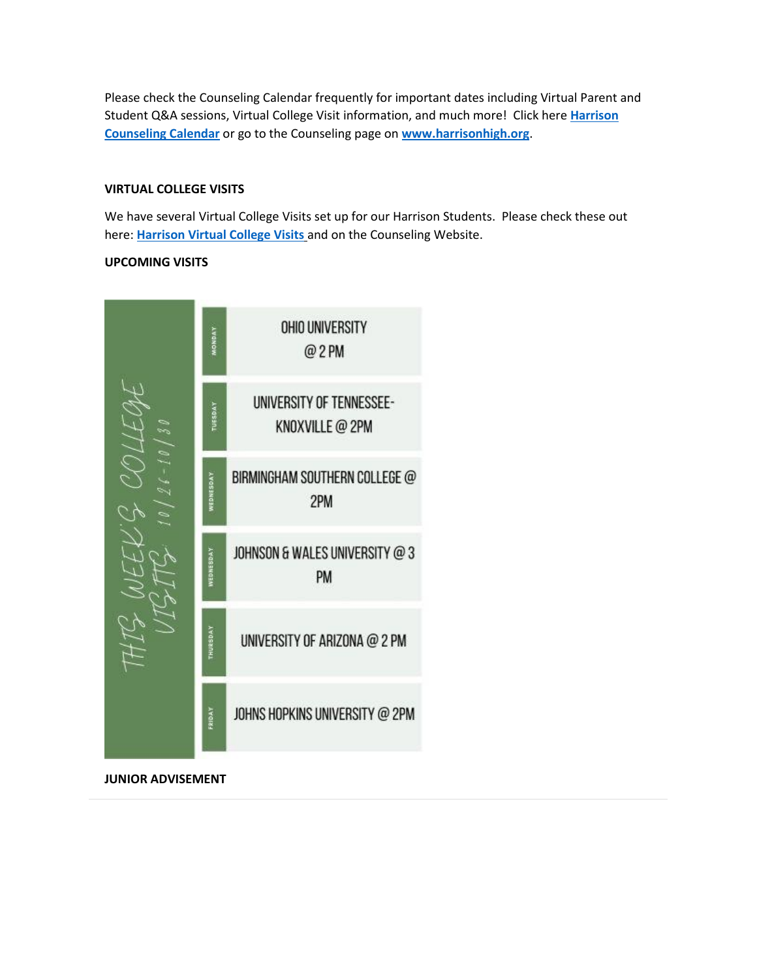Please check the Counseling Calendar frequently for important dates including Virtual Parent and Student Q&A sessions, Virtual College Visit information, and much more! Click here **[Harrison](https://calendar.google.com/calendar/embed?src=tasr4q5spailsj1itftjdtn6mk%40group.calendar.google.com&ctz=America%2FNew_York)  [Counseling Calendar](https://calendar.google.com/calendar/embed?src=tasr4q5spailsj1itftjdtn6mk%40group.calendar.google.com&ctz=America%2FNew_York)** or go to the Counseling page on **[www.harrisonhigh.org](http://www.harrisonhigh.org/)**.

### **VIRTUAL COLLEGE VISITS**

We have several Virtual College Visits set up for our Harrison Students. Please check these out here: **[Harrison Virtual College Visits](https://cobbk12org-my.sharepoint.com/:x:/g/personal/leanna_kor_cobbk12_org/EWP6BGgLdCBOvhv5RDRuCVwBqHA2jXXmnAUqr7hXgxEU7w?rtime=t-E10MJN2Eg)** and on the Counseling Website.

### **UPCOMING VISITS**



**JUNIOR ADVISEMENT**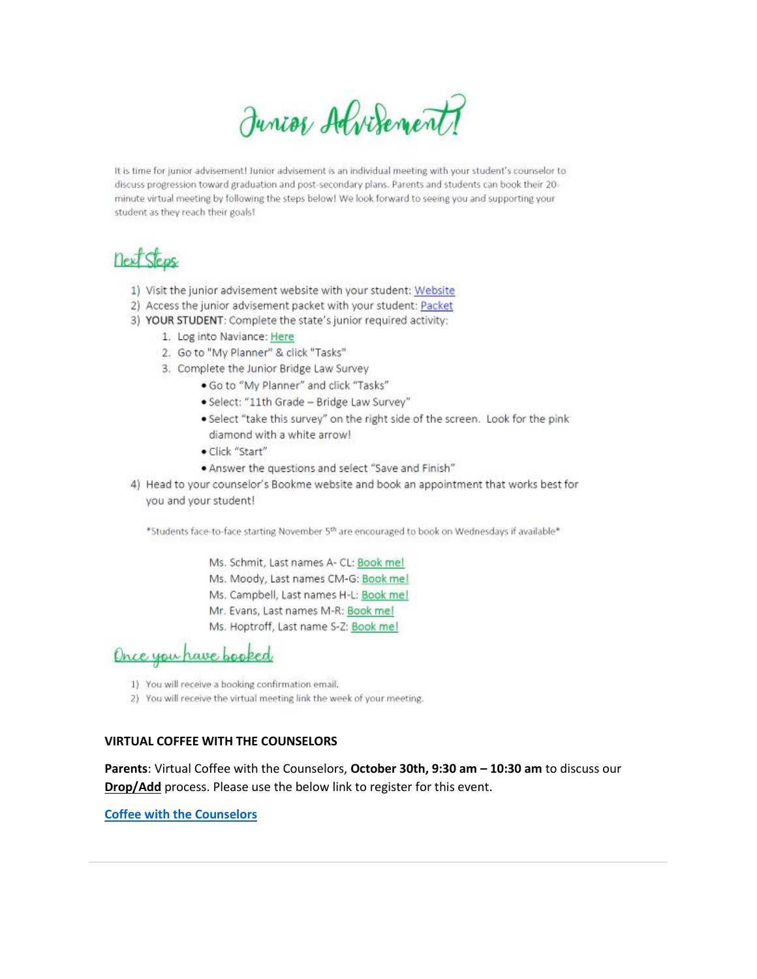Junior Alvisement

It is time for junior advisement! Junior advisement is an individual meeting with your student's counselor to discuss progression toward graduation and post-secondary plans. Parents and students can book their 20minute virtual meeting by following the steps below! We look forward to seeing you and supporting your student as they reach their goals!

### next Steps

- 1) Visit the junior advisement website with your student: Website
- 2) Access the junior advisement packet with your student: Packet
- 3) YOUR STUDENT: Complete the state's junior required activity:
	- 1. Log into Naviance: Here
	- 2. Go to "My Planner" & click "Tasks"
	- 3. Complete the Junior Bridge Law Survey
		- . Go to "My Planner" and click "Tasks"
		- · Select: "11th Grade Bridge Law Survey"
		- · Select "take this survey" on the right side of the screen. Look for the pink diamond with a white arrow!
		- · Click "Start"
		- . Answer the questions and select "Save and Finish"
- 4) Head to your counselor's Bookme website and book an appointment that works best for you and your student!

\*Students face-to-face starting November 5th are encouraged to book on Wednesdays if available\*

- Ms. Schmit, Last names A- CL: Book mel
- Ms. Moody, Last names CM-G: Book me!
- Ms. Campbell, Last names H-L: Book me!
- Mr. Evans, Last names M-R: Book me!
- Ms. Hoptroff, Last name S-Z: Book mel

### Once you have booked

- 1) You will receive a booking confirmation email.
- 2) You will receive the virtual meeting link the week of your meeting.

#### **VIRTUAL COFFEE WITH THE COUNSELORS**

Parents: Virtual Coffee with the Counselors, October 30th, 9:30 am - 10:30 am to discuss our Drop/Add process. Please use the below link to register for this event.

**Coffee with the Counselors**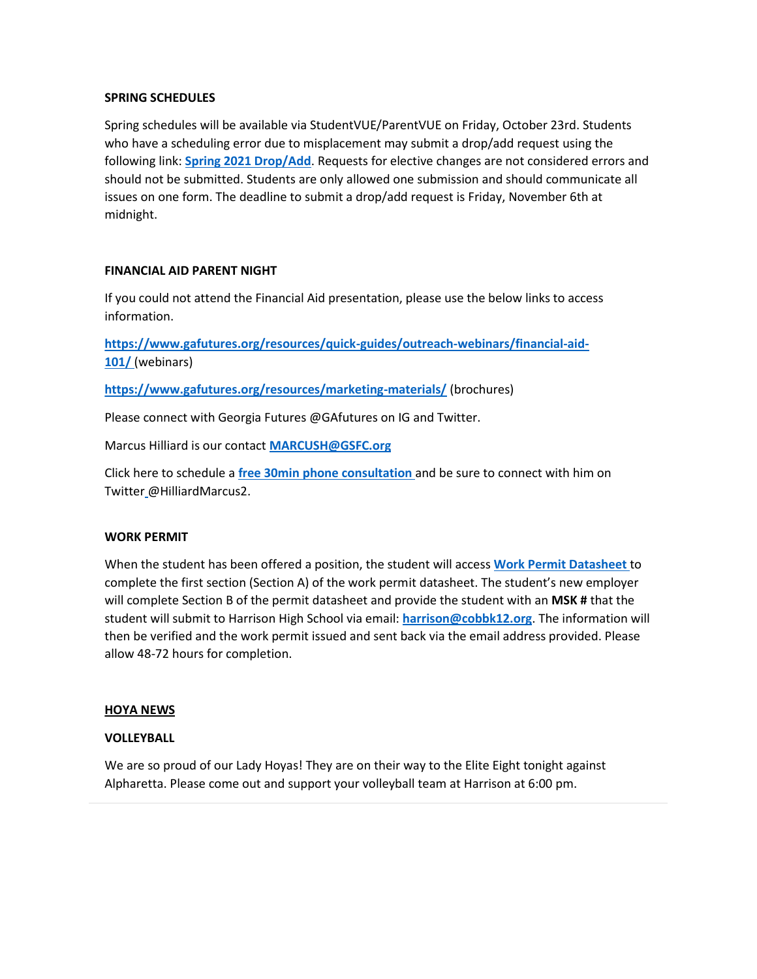### **SPRING SCHEDULES**

Spring schedules will be available via StudentVUE/ParentVUE on Friday, October 23rd. Students who have a scheduling error due to misplacement may submit a drop/add request using the following link: **[Spring 2021 Drop/Add](https://harrisonhs.formstack.com/forms/spring_2021_drop_add_form)**. Requests for elective changes are not considered errors and should not be submitted. Students are only allowed one submission and should communicate all issues on one form. The deadline to submit a drop/add request is Friday, November 6th at midnight.

### **FINANCIAL AID PARENT NIGHT**

If you could not attend the Financial Aid presentation, please use the below links to access information.

**[https://www.gafutures.org/resources/quick-guides/outreach-webinars/financial-aid-](https://www.gafutures.org/resources/quick-guides/outreach-webinars/financial-aid-101/)[101/](https://www.gafutures.org/resources/quick-guides/outreach-webinars/financial-aid-101/)** (webinars)

**<https://www.gafutures.org/resources/marketing-materials/>** (brochures)

Please connect with Georgia Futures @GAfutures on IG and Twitter.

Marcus Hilliard is our contact **[MARCUSH@GSFC.org](mailto:MARCUSH@GSFC.org)**

Click here to schedule a **[free 30min phone consultation](https://nam03.safelinks.protection.outlook.com/?url=https%3A%2F%2Foutlook.office365.com%2Fowa%2Fcalendar%2FMarcusHilliardGeorgiaStudentFinanceCommission%40gsfc.org%2Fbookings%2F&data=04%7C01%7CGILLIAN.MOODY%40cobbk12.org%7C90765525c9cc4c1f46d408d879a8c3b1%7C2fce1dfb919f4938aab8c47f0fc9182d%7C0%7C0%7C637393113030022286%7CUnknown%7CTWFpbGZsb3d8eyJWIjoiMC4wLjAwMDAiLCJQIjoiV2luMzIiLCJBTiI6Ik1haWwiLCJXVCI6Mn0%3D%7C1000&sdata=1lmGpM94Mw%2FEK4vLumRWIczwJr7K3AMjBdYc2FSOYik%3D&reserved=0)** and be sure to connect with him on Twitter [@](https://nam03.safelinks.protection.outlook.com/?url=https%3A%2F%2Ftwitter.com%2F&data=04%7C01%7CGILLIAN.MOODY%40cobbk12.org%7C90765525c9cc4c1f46d408d879a8c3b1%7C2fce1dfb919f4938aab8c47f0fc9182d%7C0%7C1%7C637393113030022286%7CUnknown%7CTWFpbGZsb3d8eyJWIjoiMC4wLjAwMDAiLCJQIjoiV2luMzIiLCJBTiI6Ik1haWwiLCJXVCI6Mn0%3D%7C1000&sdata=dDlRNRJYImHAvhyz6PP%2FkfNBPKAOrUeQEgGwPd90Xhc%3D&reserved=0)HilliardMarcus2.

### **WORK PERMIT**

When the student has been offered a position, the student will access **[Work Permit Datasheet](https://nam03.safelinks.protection.outlook.com/?url=https%3A%2F%2Fwww.dol.state.ga.us%2FWS4-MW5%2Fcics.jsp%3FTRANSID%3DWP17%26FRMNAME%3DWP17&data=02%7C01%7CAudra.Skalski%40cobbk12.org%7C856357e8e49d4d50041d08d80cb84415%7C2fce1dfb919f4938aab8c47f0fc9182d%7C0%7C1%7C637273332845584845&sdata=sYK4oD2g8pZe2iY4gQXjSHJq%2FGMstnRRcs7%2F3kUZoWc%3D&reserved=0)** to complete the first section (Section A) of the work permit datasheet. The student's new employer will complete Section B of the permit datasheet and provide the student with an **MSK #** that the student will submit to Harrison High School via email: **[harrison@cobbk12.org](mailto:%20harrison@cobbk12.org)**. The information will then be verified and the work permit issued and sent back via the email address provided. Please allow 48-72 hours for completion.

### **HOYA NEWS**

### **VOLLEYBALL**

We are so proud of our Lady Hoyas! They are on their way to the Elite Eight tonight against Alpharetta. Please come out and support your volleyball team at Harrison at 6:00 pm.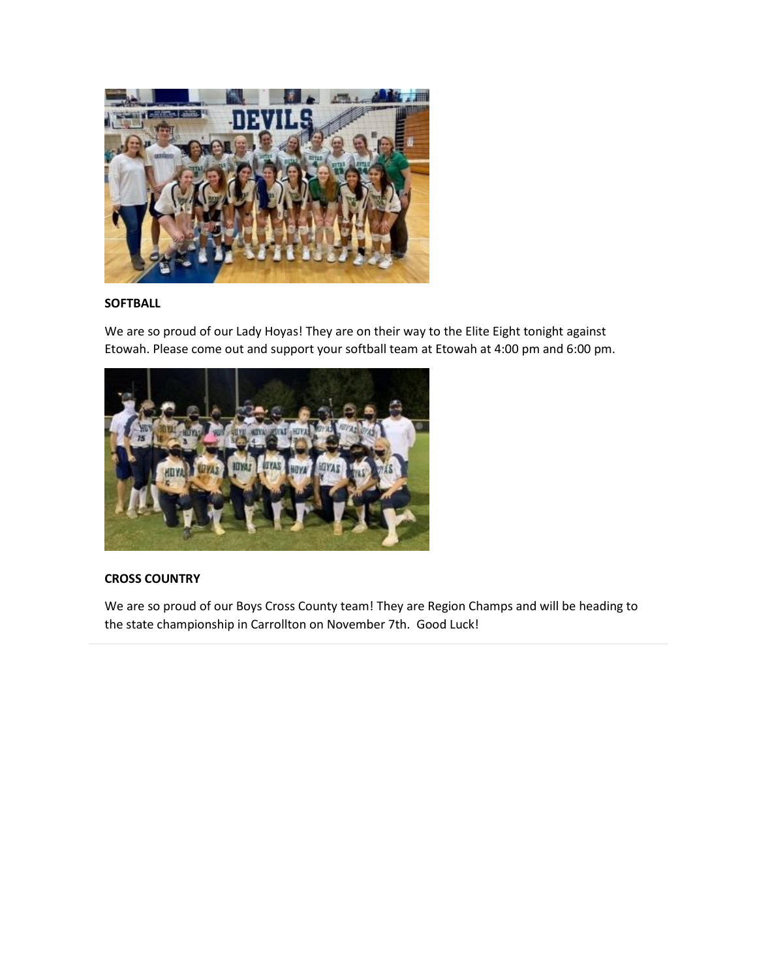

### **SOFTBALL**

We are so proud of our Lady Hoyas! They are on their way to the Elite Eight tonight against Etowah. Please come out and support your softball team at Etowah at 4:00 pm and 6:00 pm.



### **CROSS COUNTRY**

We are so proud of our Boys Cross County team! They are Region Champs and will be heading to the state championship in Carrollton on November 7th. Good Luck!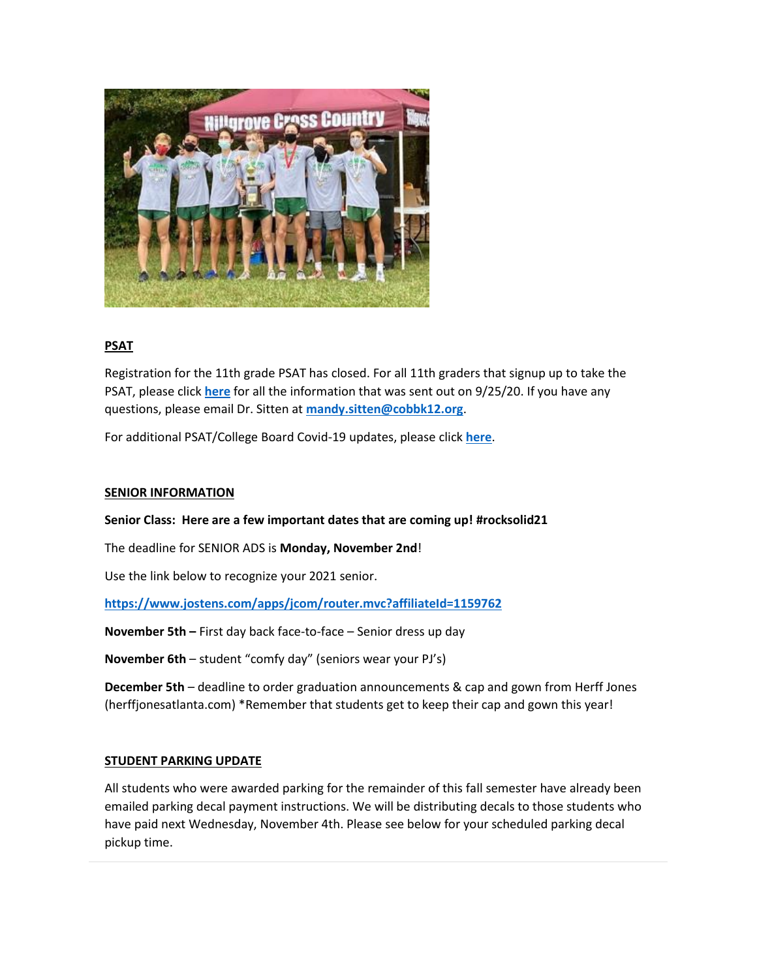

### **PSAT**

Registration for the 11th grade PSAT has closed. For all 11th graders that signup up to take the PSAT, please click **[here](http://www.harrisonhigh.org/PSAT)** for all the information that was sent out on 9/25/20. If you have any questions, please email Dr. Sitten at **[mandy.sitten@cobbk12.org](mailto:MANDY.SITTEN@cobbk12.org)**.

For additional PSAT/College Board Covid-19 updates, please click **[here](https://pages.collegeboard.org/sat-covid-19-updates)**.

### **SENIOR INFORMATION**

### **Senior Class: Here are a few important dates that are coming up! #rocksolid21**

The deadline for SENIOR ADS is **Monday, November 2nd**!

Use the link below to recognize your 2021 senior.

**<https://www.jostens.com/apps/jcom/router.mvc?affiliateId=1159762>**

**November 5th –** First day back face-to-face – Senior dress up day

**November 6th** – student "comfy day" (seniors wear your PJ's)

**December 5th** – deadline to order graduation announcements & cap and gown from Herff Jones (herffjonesatlanta.com) \*Remember that students get to keep their cap and gown this year!

### **STUDENT PARKING UPDATE**

All students who were awarded parking for the remainder of this fall semester have already been emailed parking decal payment instructions. We will be distributing decals to those students who have paid next Wednesday, November 4th. Please see below for your scheduled parking decal pickup time.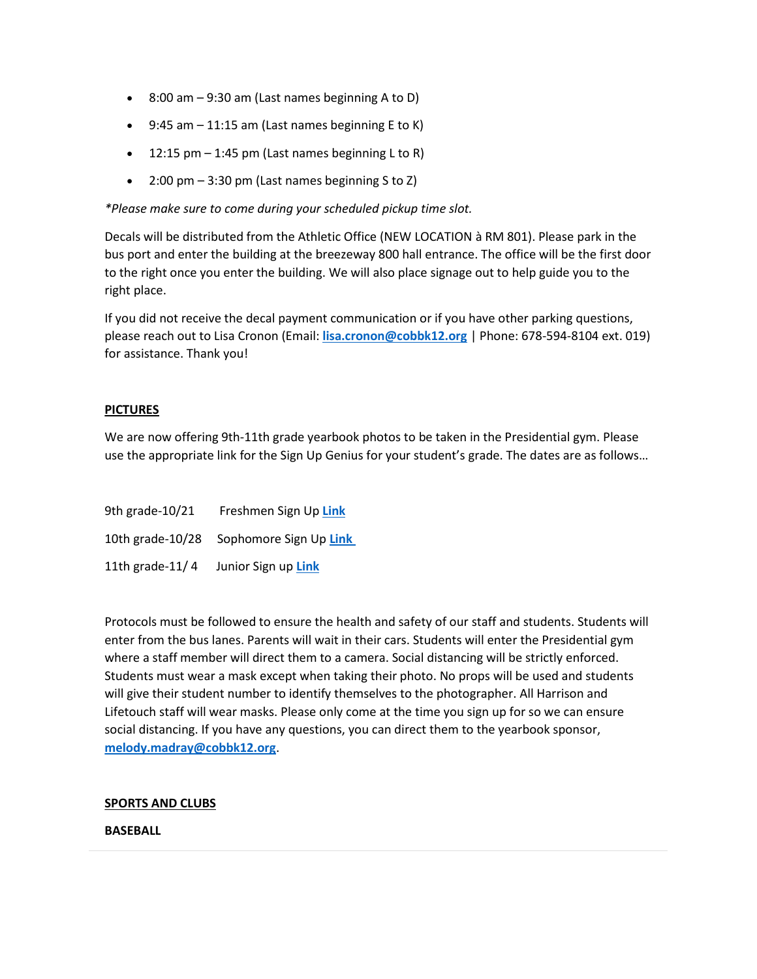- $\bullet$  8:00 am  $-9:30$  am (Last names beginning A to D)
- $\bullet$  9:45 am  $-$  11:15 am (Last names beginning E to K)
- 12:15 pm  $-$  1:45 pm (Last names beginning L to R)
- 2:00 pm  $-$  3:30 pm (Last names beginning S to Z)

*\*Please make sure to come during your scheduled pickup time slot.*

Decals will be distributed from the Athletic Office (NEW LOCATION à RM 801). Please park in the bus port and enter the building at the breezeway 800 hall entrance. The office will be the first door to the right once you enter the building. We will also place signage out to help guide you to the right place.

If you did not receive the decal payment communication or if you have other parking questions, please reach out to Lisa Cronon (Email: **[lisa.cronon@cobbk12.org](mailto:lisa.cronon@cobbk12.org)** | Phone: 678-594-8104 ext. 019) for assistance. Thank you!

### **PICTURES**

We are now offering 9th-11th grade yearbook photos to be taken in the Presidential gym. Please use the appropriate link for the Sign Up Genius for your student's grade. The dates are as follows…

| 9th grade-10/21  | Freshmen Sign Up Link  |
|------------------|------------------------|
| 10th grade-10/28 | Sophomore Sign Up Link |
| 11th grade-11/4  | Junior Sign up Link    |

Protocols must be followed to ensure the health and safety of our staff and students. Students will enter from the bus lanes. Parents will wait in their cars. Students will enter the Presidential gym where a staff member will direct them to a camera. Social distancing will be strictly enforced. Students must wear a mask except when taking their photo. No props will be used and students will give their student number to identify themselves to the photographer. All Harrison and Lifetouch staff will wear masks. Please only come at the time you sign up for so we can ensure social distancing. If you have any questions, you can direct them to the yearbook sponsor, **[melody.madray@cobbk12.org](mailto:melody.madray@cobbk12.org)**.

### **SPORTS AND CLUBS**

### **BASEBALL**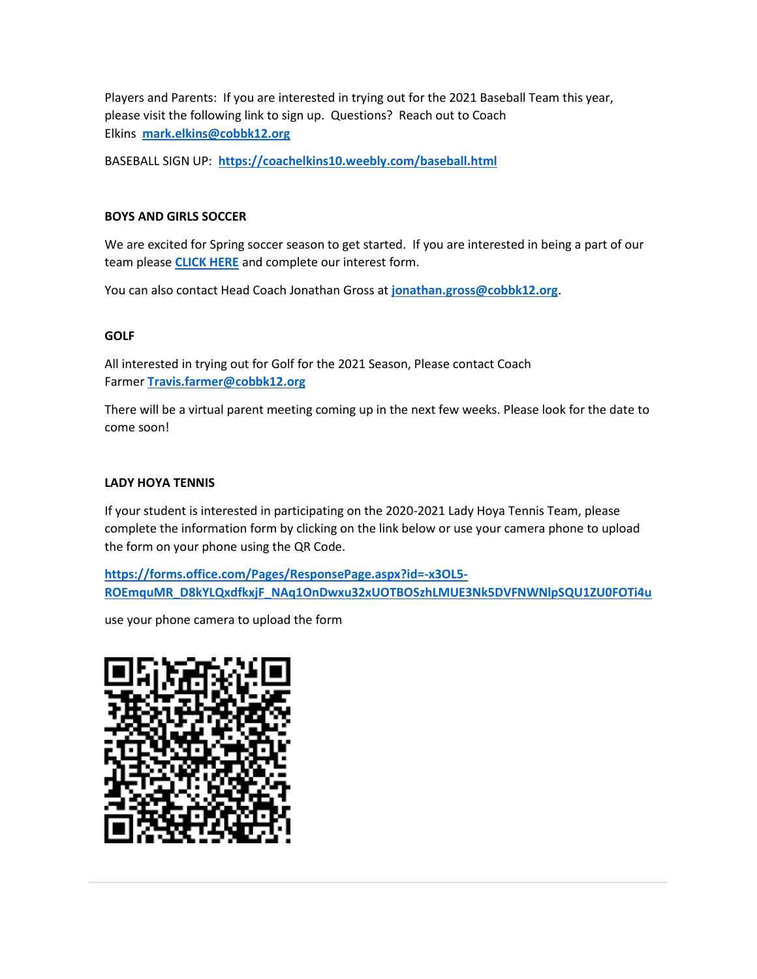Players and Parents: If you are interested in trying out for the 2021 Baseball Team this year, please visit the following link to sign up. Questions? Reach out to Coach Elkins **[mark.elkins@cobbk12.org](mailto:mark.elkins@cobbk12.org)**

BASEBALL SIGN UP: **<https://coachelkins10.weebly.com/baseball.html>**

### **BOYS AND GIRLS SOCCER**

We are excited for Spring soccer season to get started. If you are interested in being a part of our team please **[CLICK HERE](https://docs.google.com/forms/d/e/1FAIpQLSejVKRJ30_WmtRggRtJzXt1gSYOyU3GKbXnam36p6NlfhZtmw/viewform?vc=0&c=0&w=1&flr=0&gxids=7757)** and complete our interest form.

You can also contact Head Coach Jonathan Gross at **[jonathan.gross@cobbk12.org](mailto:jonathan.gross@cobbk12.org)**.

### **GOLF**

All interested in trying out for Golf for the 2021 Season, Please contact Coach Farmer **[Travis.farmer@cobbk12.org](mailto:%20Travis.farmer@cobbk12.org)**

There will be a virtual parent meeting coming up in the next few weeks. Please look for the date to come soon!

### **LADY HOYA TENNIS**

If your student is interested in participating on the 2020-2021 Lady Hoya Tennis Team, please complete the information form by clicking on the link below or use your camera phone to upload the form on your phone using the QR Code.

**[https://forms.office.com/Pages/ResponsePage.aspx?id=-x3OL5-](https://forms.office.com/Pages/ResponsePage.aspx?id=-x3OL5-ROEmquMR_D8kYLQxdfkxjF_NAq1OnDwxu32xUOTBOSzhLMUE3Nk5DVFNWNlpSQU1ZU0FOTi4u) [ROEmquMR\\_D8kYLQxdfkxjF\\_NAq1OnDwxu32xUOTBOSzhLMUE3Nk5DVFNWNlpSQU1ZU0FOTi4u](https://forms.office.com/Pages/ResponsePage.aspx?id=-x3OL5-ROEmquMR_D8kYLQxdfkxjF_NAq1OnDwxu32xUOTBOSzhLMUE3Nk5DVFNWNlpSQU1ZU0FOTi4u)**

use your phone camera to upload the form